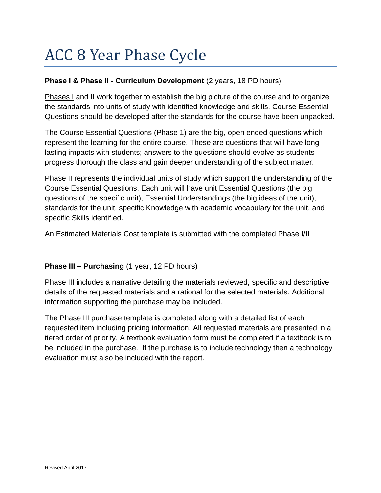# ACC 8 Year Phase Cycle

## **Phase I & Phase II - Curriculum Development** (2 years, 18 PD hours)

Phases I and II work together to establish the big picture of the course and to organize the standards into units of study with identified knowledge and skills. Course Essential Questions should be developed after the standards for the course have been unpacked.

The Course Essential Questions (Phase 1) are the big, open ended questions which represent the learning for the entire course. These are questions that will have long lasting impacts with students; answers to the questions should evolve as students progress thorough the class and gain deeper understanding of the subject matter.

Phase II represents the individual units of study which support the understanding of the Course Essential Questions. Each unit will have unit Essential Questions (the big questions of the specific unit), Essential Understandings (the big ideas of the unit), standards for the unit, specific Knowledge with academic vocabulary for the unit, and specific Skills identified.

An Estimated Materials Cost template is submitted with the completed Phase I/II

# **Phase III – Purchasing** (1 year, 12 PD hours)

Phase III includes a narrative detailing the materials reviewed, specific and descriptive details of the requested materials and a rational for the selected materials. Additional information supporting the purchase may be included.

The Phase III purchase template is completed along with a detailed list of each requested item including pricing information. All requested materials are presented in a tiered order of priority. A textbook evaluation form must be completed if a textbook is to be included in the purchase. If the purchase is to include technology then a technology evaluation must also be included with the report.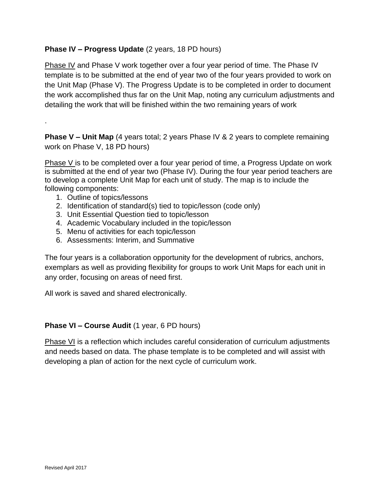# **Phase IV – Progress Update** (2 years, 18 PD hours)

Phase IV and Phase V work together over a four year period of time. The Phase IV template is to be submitted at the end of year two of the four years provided to work on the Unit Map (Phase V). The Progress Update is to be completed in order to document the work accomplished thus far on the Unit Map, noting any curriculum adjustments and detailing the work that will be finished within the two remaining years of work

**Phase V – Unit Map** (4 years total; 2 years Phase IV & 2 years to complete remaining work on Phase V, 18 PD hours)

Phase V is to be completed over a four year period of time, a Progress Update on work is submitted at the end of year two (Phase IV). During the four year period teachers are to develop a complete Unit Map for each unit of study. The map is to include the following components:

1. Outline of topics/lessons

.

- 2. Identification of standard(s) tied to topic/lesson (code only)
- 3. Unit Essential Question tied to topic/lesson
- 4. Academic Vocabulary included in the topic/lesson
- 5. Menu of activities for each topic/lesson
- 6. Assessments: Interim, and Summative

The four years is a collaboration opportunity for the development of rubrics, anchors, exemplars as well as providing flexibility for groups to work Unit Maps for each unit in any order, focusing on areas of need first.

All work is saved and shared electronically.

#### **Phase VI – Course Audit** (1 year, 6 PD hours)

Phase VI is a reflection which includes careful consideration of curriculum adjustments and needs based on data. The phase template is to be completed and will assist with developing a plan of action for the next cycle of curriculum work.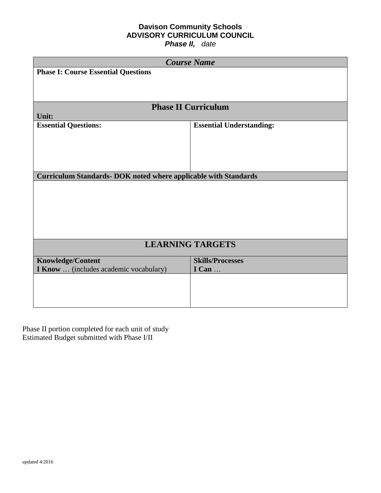# **Davison Community Schools ADVISORY CURRICULUM COUNCIL**

*Phase II, date*

|                                                                        | <b>Course Name</b>              |
|------------------------------------------------------------------------|---------------------------------|
| <b>Phase I: Course Essential Questions</b>                             |                                 |
|                                                                        |                                 |
|                                                                        |                                 |
|                                                                        |                                 |
|                                                                        | <b>Phase II Curriculum</b>      |
| Unit:                                                                  |                                 |
| <b>Essential Questions:</b>                                            | <b>Essential Understanding:</b> |
|                                                                        |                                 |
|                                                                        |                                 |
|                                                                        |                                 |
|                                                                        |                                 |
| <b>Curriculum Standards- DOK noted where applicable with Standards</b> |                                 |
|                                                                        |                                 |
|                                                                        |                                 |
|                                                                        |                                 |
|                                                                        |                                 |
|                                                                        |                                 |
|                                                                        |                                 |
|                                                                        | <b>LEARNING TARGETS</b>         |
| <b>Knowledge/Content</b>                                               | <b>Skills/Processes</b>         |
| <b>I Know</b> (includes academic vocabulary)                           | I Can                           |
|                                                                        |                                 |
|                                                                        |                                 |
|                                                                        |                                 |
|                                                                        |                                 |

Phase II portion completed for each unit of study Estimated Budget submitted with Phase I/II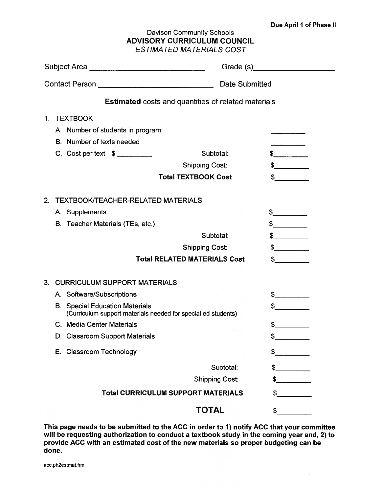#### **Davison Community Schools ADVISORY CURRICULUM COUNCIL ESTIMATED MATERIALS COST**

|    | Subject Area                                                                                           |                                                            | Grade (s) Crade (s) |  |
|----|--------------------------------------------------------------------------------------------------------|------------------------------------------------------------|---------------------|--|
|    |                                                                                                        | <b>Date Submitted</b>                                      |                     |  |
|    |                                                                                                        | <b>Estimated</b> costs and quantities of related materials |                     |  |
| 1. | <b>TEXTBOOK</b>                                                                                        |                                                            |                     |  |
|    | A. Number of students in program<br>B. Number of texts needed                                          |                                                            |                     |  |
|    |                                                                                                        |                                                            |                     |  |
|    | $C.$ Cost per text $\frac{1}{2}$                                                                       | Subtotal:                                                  | $\frac{1}{2}$       |  |
|    |                                                                                                        | <b>Shipping Cost:</b>                                      | $\frac{1}{2}$       |  |
|    |                                                                                                        | <b>Total TEXTBOOK Cost</b>                                 | $\sim$              |  |
| 2. | <b>TEXTBOOK/TEACHER-RELATED MATERIALS</b>                                                              |                                                            |                     |  |
|    | A. Supplements                                                                                         |                                                            | $\frac{1}{2}$       |  |
|    | B. Teacher Materials (TEs, etc.)                                                                       |                                                            | $\frac{1}{2}$       |  |
|    |                                                                                                        | Subtotal:                                                  | $\frac{1}{2}$       |  |
|    |                                                                                                        | <b>Shipping Cost:</b>                                      | $\frac{1}{2}$       |  |
|    |                                                                                                        | <b>Total RELATED MATERIALS Cost</b>                        | $\sim$              |  |
|    | 3. CURRICULUM SUPPORT MATERIALS                                                                        |                                                            |                     |  |
|    | A. Software/Subscriptions                                                                              |                                                            | $\frac{1}{2}$       |  |
|    | <b>B.</b> Special Education Materials<br>(Curriculum support materials needed for special ed students) |                                                            | \$                  |  |
|    | C. Media Center Materials                                                                              |                                                            | \$                  |  |
|    | D. Classroom Support Materials                                                                         |                                                            | \$                  |  |
|    | E. Classroom Technology                                                                                |                                                            | \$                  |  |
|    |                                                                                                        | Subtotal:                                                  | \$                  |  |
|    |                                                                                                        | <b>Shipping Cost:</b>                                      |                     |  |
|    |                                                                                                        | <b>Total CURRICULUM SUPPORT MATERIALS</b>                  | \$                  |  |
|    |                                                                                                        | <b>TOTAL</b>                                               | \$                  |  |

This page needs to be submitted to the ACC in order to 1) notify ACC that your committee will be requesting authorization to conduct a textbook study in the coming year and, 2) to provide ACC with an estimated cost of the new materials so proper budgeting can be done.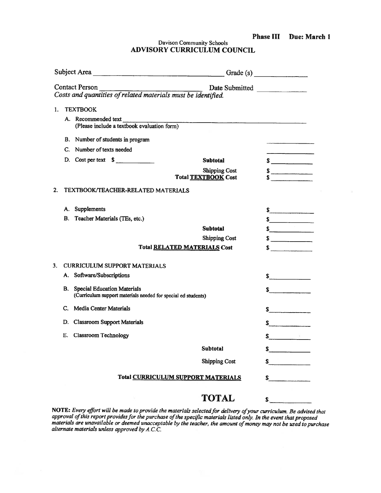| <b>Phase III</b> |  | Due: March 1 |  |
|------------------|--|--------------|--|
|------------------|--|--------------|--|

 $\sim$ 

Davison Community Schools ADVISORY CURRICULUM COUNCIL

|    | Subject Area                                                                                        |                                                    | Grade (s) $\qquad \qquad$                                       |
|----|-----------------------------------------------------------------------------------------------------|----------------------------------------------------|-----------------------------------------------------------------|
|    | Contact Person<br>Costs and quantities of related materials must be identified.                     | Date Submitted                                     |                                                                 |
| 1. | <b>TEXTBOOK</b>                                                                                     |                                                    |                                                                 |
|    | A. Recommended text<br>(Please include a textbook evaluation form)                                  |                                                    |                                                                 |
|    | B. Number of students in program                                                                    |                                                    |                                                                 |
|    | C. Number of texts needed                                                                           |                                                    |                                                                 |
|    | D. Cost per text \$                                                                                 | <b>Subtotal</b>                                    | s                                                               |
|    |                                                                                                     | <b>Shipping Cost</b><br><b>Total TEXTBOOK Cost</b> | $\frac{s}{s}$                                                   |
| 2. | TEXTBOOK/TEACHER-RELATED MATERIALS                                                                  |                                                    |                                                                 |
|    | A. Supplements                                                                                      |                                                    | $\int$                                                          |
|    | B. Teacher Materials (TEs, etc.)                                                                    |                                                    | s                                                               |
|    |                                                                                                     | <b>Subtotal</b>                                    | $\frac{1}{\sqrt{2}}$                                            |
|    |                                                                                                     | <b>Shipping Cost</b>                               | $\sim$                                                          |
|    | <b>Total RELATED MATERIALS Cost</b>                                                                 |                                                    | $\infty$                                                        |
| 3. | <b>CURRICULUM SUPPORT MATERIALS</b>                                                                 |                                                    |                                                                 |
|    | A. Software/Subscriptions                                                                           |                                                    | $\int$                                                          |
| В. | <b>Special Education Materials</b><br>(Curriculum support materials needed for special ed students) |                                                    | $\sum$                                                          |
|    | C. Media Center Materials                                                                           |                                                    | $\frac{1}{2}$                                                   |
|    | D. Classroom Support Materials                                                                      |                                                    | $\sim$                                                          |
| Е. | <b>Classroom Technology</b>                                                                         |                                                    | $\mathbf{s}$ and $\mathbf{s}$ and $\mathbf{s}$ and $\mathbf{s}$ |
|    |                                                                                                     | <b>Subtotal</b>                                    | S                                                               |
|    |                                                                                                     | <b>Shipping Cost</b>                               | \$.                                                             |
|    | <b>Total CURRICULUM SUPPORT MATERIALS</b>                                                           |                                                    | S.                                                              |
|    |                                                                                                     | <b>TOTAL</b>                                       | \$.                                                             |

NOTE: Every effort will be made to provide the materials selected for delivery of your curriculum. Be advised that<br>approval of this report provides for the purchase of the specific materials listed only. In the event that alternate materials unless approved by A.C.C.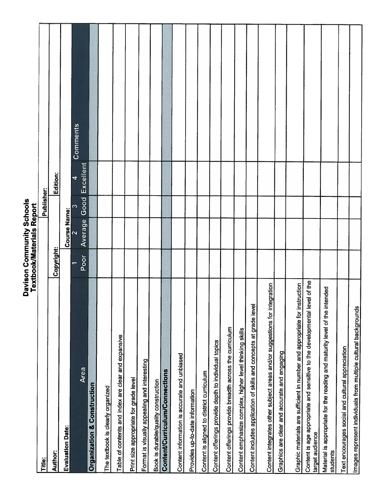|                                                                                               | Albinian Mondo |                     | <b>Neppol</b> |                      |          |
|-----------------------------------------------------------------------------------------------|----------------|---------------------|---------------|----------------------|----------|
| Title:                                                                                        |                |                     | Publisher:    |                      |          |
| Author:                                                                                       | Copyright:     |                     |               | Edition:             |          |
| <b>Evaluation Date:</b>                                                                       |                | <b>Course Name:</b> |               |                      |          |
| Area                                                                                          |                | 2                   | S             | $\blacktriangleleft$ | Comments |
|                                                                                               | Poor           | Average             | Good          | Excellent            |          |
| Organization & Construction                                                                   |                |                     |               |                      |          |
| The textbook is clearly organized                                                             |                |                     |               |                      |          |
| Table of contents and index are clear and expansive                                           |                |                     |               |                      |          |
| Print size appropriate for grade level                                                        |                |                     |               |                      |          |
| Format is visually appealing and interesting                                                  |                |                     |               |                      |          |
| Book is durable/quality construction                                                          |                |                     |               |                      |          |
| Content/Curriculum/Connections                                                                |                |                     |               |                      |          |
| Content information is accurate and unbiased                                                  |                |                     |               |                      |          |
| Provides up-to-date information                                                               |                |                     |               |                      |          |
| Content is aligned to district curriculum                                                     |                |                     |               |                      |          |
| Content offerings provide depth to individual topics                                          |                |                     |               |                      |          |
| Content offerings provide breadth across the curriculum                                       |                |                     |               |                      |          |
| Content emphasize complex, higher level thinking skills                                       |                |                     |               |                      |          |
| Content includes application of skills and concepts at grade level                            |                |                     |               |                      |          |
| Content integrates other subject areas and/or suggestions for integration                     |                |                     |               |                      |          |
| Graphics are clear and accurate and engaging                                                  |                |                     |               |                      |          |
| Graphic materials are sufficient in number and appropriate for instruction                    |                |                     |               |                      |          |
| Content is age appropriate and sensitive to the developmental level of the<br>target audience |                |                     |               |                      |          |
| Material is appropriate for the reading and maturity level of the intended<br>students        |                |                     |               |                      |          |
| Text encourages social and cultural appreciation                                              |                |                     |               |                      |          |
| Images represent individuals from multiple cultural backgrounds                               |                |                     |               |                      |          |

Davison Community Schools<br>Textbook/Materials Report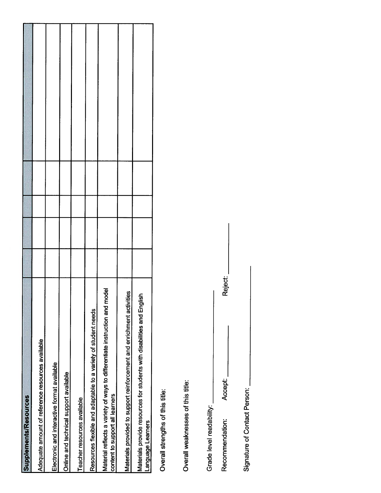| <b>Supplements/Resources</b>                                                                                       |  |  |  |
|--------------------------------------------------------------------------------------------------------------------|--|--|--|
| Adequate amount of reference resources available                                                                   |  |  |  |
| Electronic and interactive format available                                                                        |  |  |  |
| Online and technical support available                                                                             |  |  |  |
| Teacher resources available                                                                                        |  |  |  |
| Resources flexible and adaptable to a variety of student needs                                                     |  |  |  |
| hodel<br>Material reflects a variety of ways to differentiate instruction and m<br>content to support all learners |  |  |  |
| ities<br>Materials provided to support reinforcement and enrichment activi                                         |  |  |  |
| $\frac{5}{2}$<br>Materials provide resources for students with disabilities and Engl<br>Language Learners          |  |  |  |

Overall strengths of this title:

Overall weaknesses of this title:

Grade level readability:

Accept: Recommendation:

Reject:

Signature of Contact Person: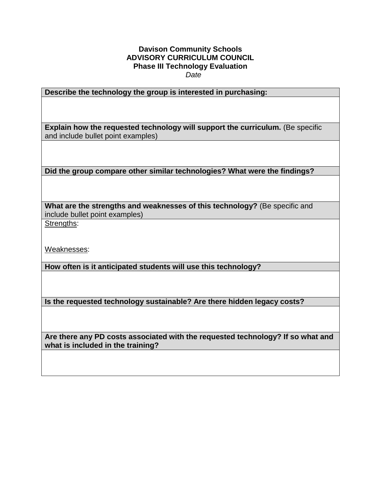#### **Davison Community Schools ADVISORY CURRICULUM COUNCIL Phase III Technology Evaluation**   *Date*

**Describe the technology the group is interested in purchasing:**

**Explain how the requested technology will support the curriculum.** (Be specific and include bullet point examples)

**Did the group compare other similar technologies? What were the findings?**

**What are the strengths and weaknesses of this technology?** (Be specific and include bullet point examples)

Strengths:

Weaknesses:

**How often is it anticipated students will use this technology?**

**Is the requested technology sustainable? Are there hidden legacy costs?** 

**Are there any PD costs associated with the requested technology? If so what and what is included in the training?**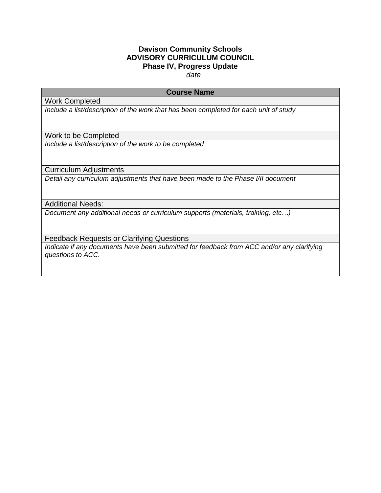# **Davison Community Schools ADVISORY CURRICULUM COUNCIL Phase IV, Progress Update**

 *date*

### **Course Name**

Work Completed

*Include a list/description of the work that has been completed for each unit of study*

Work to be Completed

*Include a list/description of the work to be completed* 

Curriculum Adjustments

*Detail any curriculum adjustments that have been made to the Phase I/II document* 

Additional Needs:

*Document any additional needs or curriculum supports (materials, training, etc…)*

Feedback Requests or Clarifying Questions

*Indicate if any documents have been submitted for feedback from ACC and/or any clarifying questions to ACC.*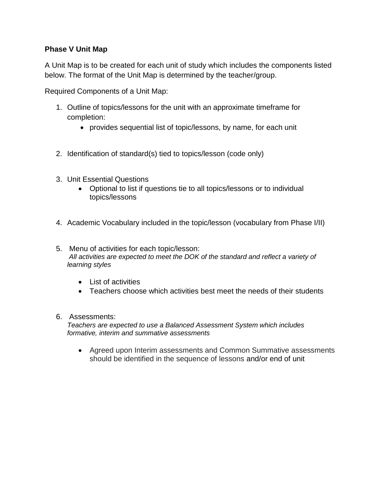# **Phase V Unit Map**

A Unit Map is to be created for each unit of study which includes the components listed below. The format of the Unit Map is determined by the teacher/group.

Required Components of a Unit Map:

- 1. Outline of topics/lessons for the unit with an approximate timeframe for completion:
	- provides sequential list of topic/lessons, by name, for each unit
- 2. Identification of standard(s) tied to topics/lesson (code only)
- 3. Unit Essential Questions
	- Optional to list if questions tie to all topics/lessons or to individual topics/lessons
- 4. Academic Vocabulary included in the topic/lesson (vocabulary from Phase I/II)
- 5. Menu of activities for each topic/lesson: *All activities are expected to meet the DOK of the standard and reflect a variety of learning styles*
	- List of activities
	- Teachers choose which activities best meet the needs of their students
- 6. Assessments:

*Teachers are expected to use a Balanced Assessment System which includes formative, interim and summative assessments*

 Agreed upon Interim assessments and Common Summative assessments should be identified in the sequence of lessons and/or end of unit